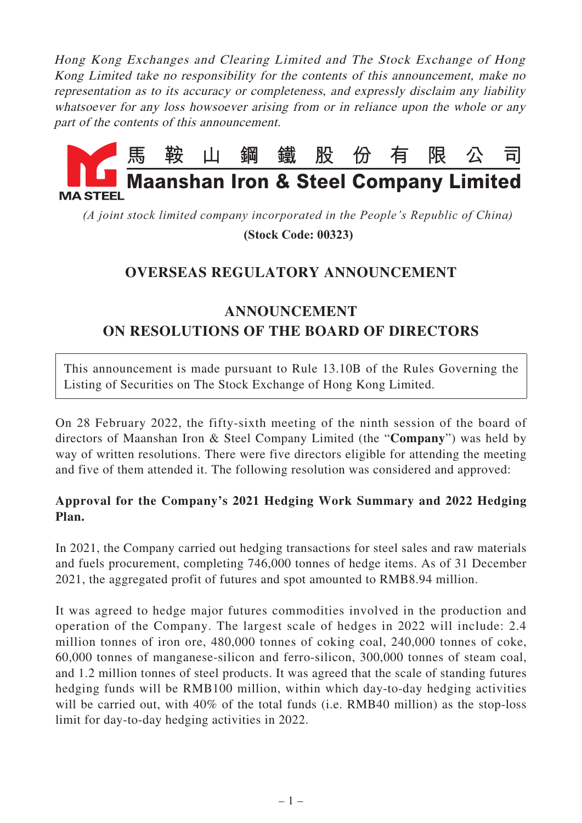Hong Kong Exchanges and Clearing Limited and The Stock Exchange of Hong Kong Limited take no responsibility for the contents of this announcement, make no representation as to its accuracy or completeness, and expressly disclaim any liability whatsoever for any loss howsoever arising from or in reliance upon the whole or any part of the contents of this announcement.



*(A joint stock limited company incorporated in the People's Republic of China)*

 **(Stock Code: 00323)**

## **OVERSEAS REGULATORY ANNOUNCEMENT**

## **ANNOUNCEMENT ON RESOLUTIONS OF THE BOARD OF DIRECTORS**

This announcement is made pursuant to Rule 13.10B of the Rules Governing the Listing of Securities on The Stock Exchange of Hong Kong Limited.

On 28 February 2022, the fifty-sixth meeting of the ninth session of the board of directors of Maanshan Iron & Steel Company Limited (the "**Company**") was held by way of written resolutions. There were five directors eligible for attending the meeting and five of them attended it. The following resolution was considered and approved:

## **Approval for the Company's 2021 Hedging Work Summary and 2022 Hedging Plan.**

In 2021, the Company carried out hedging transactions for steel sales and raw materials and fuels procurement, completing 746,000 tonnes of hedge items. As of 31 December 2021, the aggregated profit of futures and spot amounted to RMB8.94 million.

It was agreed to hedge major futures commodities involved in the production and operation of the Company. The largest scale of hedges in 2022 will include: 2.4 million tonnes of iron ore, 480,000 tonnes of coking coal, 240,000 tonnes of coke, 60,000 tonnes of manganese-silicon and ferro-silicon, 300,000 tonnes of steam coal, and 1.2 million tonnes of steel products. It was agreed that the scale of standing futures hedging funds will be RMB100 million, within which day-to-day hedging activities will be carried out, with 40% of the total funds (i.e. RMB40 million) as the stop-loss limit for day-to-day hedging activities in 2022.